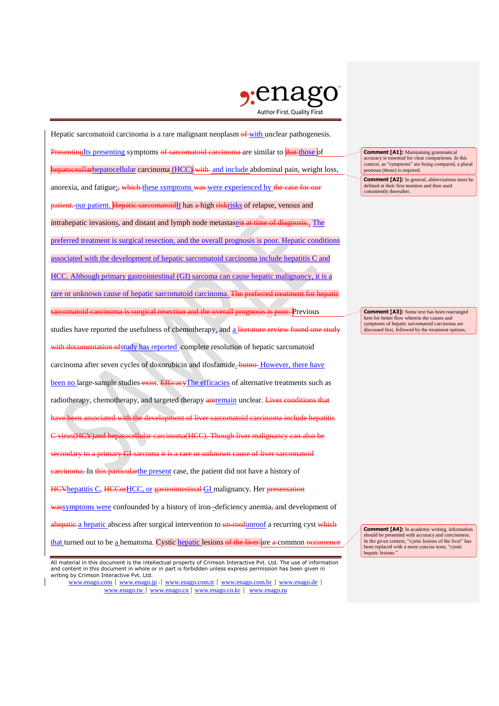

Hepatic sarcomatoid carcinoma is a rare malignant neoplasm  $\theta$  with unclear pathogenesis. **Presenting**Its presenting symptoms of sarcomatoid carcinoma are similar to that those of hepatoceullarhepatocellular carcinoma (HCC) with and include abdominal pain, weight loss, anorexia, and fatigue; which these symptoms was were experienced by the case for our patient. our patient. Hepatic sarcomatoidIt has a high riskrisks of relapse, venous and intrahepatic invasions, and distant and lymph node metastaseis at time of diagnosis.. The preferred treatment is surgical resection, and the overall prognosis is poor. Hepatic conditions associated with the development of hepatic sarcomatoid carcinoma include hepatitis C and HCC. Although primary gastrointestinal (GI) sarcoma can cause hepatic malignancy, it is a rare or unknown cause of hepatic sarcomatoid carcinoma. The preferred treatment for hepatic id carcinoma is surgical resection and the overall prognosis is poor. Previous studies have reported the usefulness of chemotherapy, and a literature review found with documentation of study has reported -complete resolution of hepatic sarcomatoid carcinoma after seven cycles of doxorubicin and ifosfamide. **-butno-** However, there have been no large-sample studies-exist. EfficacyThe efficacies of alternative treatments such as radiotherapy, chemotherapy, and targeted therapy are remain unclear. Liver conditions that have been associated with the development of liver sarcomatoid carcinoma include hepatitis C virus(HCV)and hepatocellular carcinoma(HCC). Though liver malignancy can also be secondary to a primary GI sarcoma it is a rare or unknown cause of liver sarcomatoid carcinoma. In this particularthe present case, the patient did not have a history of HCVhepatitis C, HCCorHCC, or gastrointestinal GI malignancy. Her presentation  $w$ assymptoms were confounded by a history of iron-deficiency anemia, and development of ahepatic a hepatic abscess after surgical intervention to un-roofunroof a recurring cyst which that turned out to be a hematoma. Cystic hepatic lesions of the liver are a common occurrence

**Comment [A1]:** Maintaining grammatical accuracy is essential for clear comparisons. In this context, as "symptoms" are being compared, a plural pronoun (those) is required.

**Comment [A2]:** In general, abbreviations must be defined at their first mention and then used consistently thereafter.

**Comment [A3]:** Some text has been rearranged here for better flow wherein the causes and symptoms of hepatic sarcomatoid carcinoma are discussed first, followed by the treatment options.

**Comment [A4]:** In academic writing, information should be presented with accuracy and conciseness. In the given context, "cystic lesions of the liver" has been replaced with a more concise term, "cystic hepatic lesions."

All material in this document is the intellectual property of Crimson Interactive Pvt. Ltd. The use of information and content in this document in whole or in part is forbidden unless express permission has been given in writing by Crimson Interactive Pvt. Ltd.

www.enago.com | www.enago.jp - | www.enago.com.tr | www.enago.com.br | www.enago.de | www.enago.tw | www.enago.cn | www.enago.co.kr | www.enago.ru